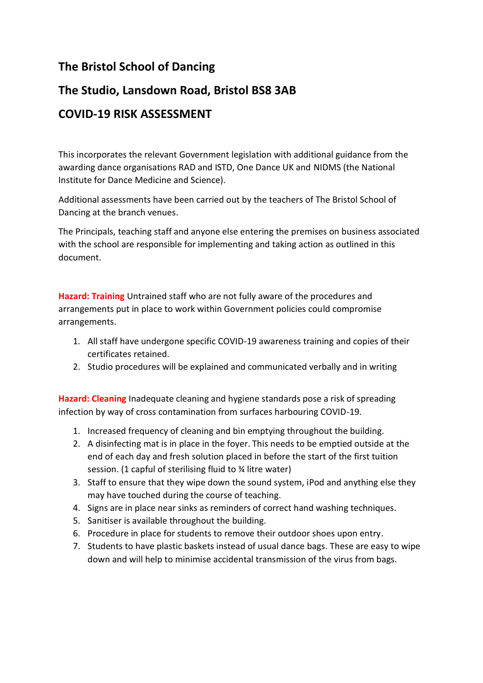## **The Bristol School of Dancing**

## **The Studio, Lansdown Road, Bristol BS8 3AB**

## **COVID-19 RISK ASSESSMENT**

This incorporates the relevant Government legislation with additional guidance from the awarding dance organisations RAD and ISTD, One Dance UK and NIDMS (the National Institute for Dance Medicine and Science).

Additional assessments have been carried out by the teachers of The Bristol School of Dancing at the branch venues.

The Principals, teaching staff and anyone else entering the premises on business associated with the school are responsible for implementing and taking action as outlined in this document.

**Hazard: Training** Untrained staff who are not fully aware of the procedures and arrangements put in place to work within Government policies could compromise arrangements.

- 1. All staff have undergone specific COVID-19 awareness training and copies of their certificates retained.
- 2. Studio procedures will be explained and communicated verbally and in writing

**Hazard: Cleaning** Inadequate cleaning and hygiene standards pose a risk of spreading infection by way of cross contamination from surfaces harbouring COVID-19.

- 1. Increased frequency of cleaning and bin emptying throughout the building.
- 2. A disinfecting mat is in place in the foyer. This needs to be emptied outside at the end of each day and fresh solution placed in before the start of the first tuition session. (1 capful of sterilising fluid to ¾ litre water)
- 3. Staff to ensure that they wipe down the sound system, iPod and anything else they may have touched during the course of teaching.
- 4. Signs are in place near sinks as reminders of correct hand washing techniques.
- 5. Sanitiser is available throughout the building.
- 6. Procedure in place for students to remove their outdoor shoes upon entry.
- 7. Students to have plastic baskets instead of usual dance bags. These are easy to wipe down and will help to minimise accidental transmission of the virus from bags.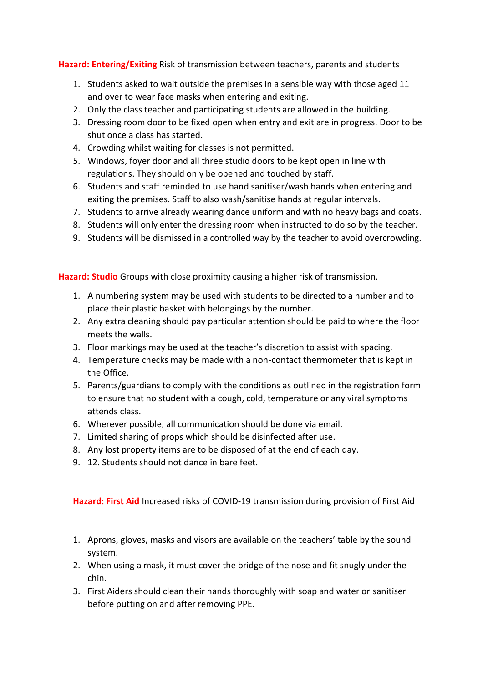**Hazard: Entering/Exiting** Risk of transmission between teachers, parents and students

- 1. Students asked to wait outside the premises in a sensible way with those aged 11 and over to wear face masks when entering and exiting.
- 2. Only the class teacher and participating students are allowed in the building.
- 3. Dressing room door to be fixed open when entry and exit are in progress. Door to be shut once a class has started.
- 4. Crowding whilst waiting for classes is not permitted.
- 5. Windows, foyer door and all three studio doors to be kept open in line with regulations. They should only be opened and touched by staff.
- 6. Students and staff reminded to use hand sanitiser/wash hands when entering and exiting the premises. Staff to also wash/sanitise hands at regular intervals.
- 7. Students to arrive already wearing dance uniform and with no heavy bags and coats.
- 8. Students will only enter the dressing room when instructed to do so by the teacher.
- 9. Students will be dismissed in a controlled way by the teacher to avoid overcrowding.

**Hazard: Studio** Groups with close proximity causing a higher risk of transmission.

- 1. A numbering system may be used with students to be directed to a number and to place their plastic basket with belongings by the number.
- 2. Any extra cleaning should pay particular attention should be paid to where the floor meets the walls.
- 3. Floor markings may be used at the teacher's discretion to assist with spacing.
- 4. Temperature checks may be made with a non-contact thermometer that is kept in the Office.
- 5. Parents/guardians to comply with the conditions as outlined in the registration form to ensure that no student with a cough, cold, temperature or any viral symptoms attends class.
- 6. Wherever possible, all communication should be done via email.
- 7. Limited sharing of props which should be disinfected after use.
- 8. Any lost property items are to be disposed of at the end of each day.
- 9. 12. Students should not dance in bare feet.

**Hazard: First Aid** Increased risks of COVID-19 transmission during provision of First Aid

- 1. Aprons, gloves, masks and visors are available on the teachers' table by the sound system.
- 2. When using a mask, it must cover the bridge of the nose and fit snugly under the chin.
- 3. First Aiders should clean their hands thoroughly with soap and water or sanitiser before putting on and after removing PPE.